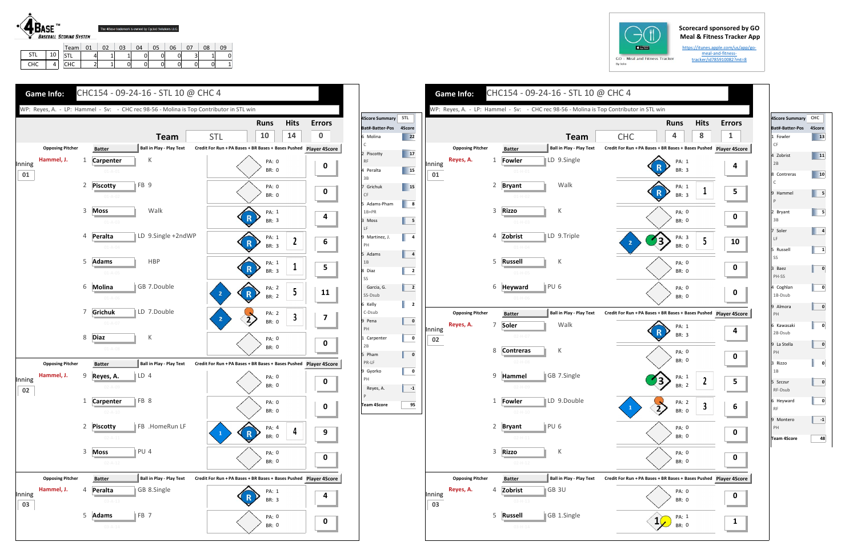## **Scorecard sponsored by GO Meal & Fitness Tracker App**

https://itunes.apple.com/us/app/go‐ meal-and-fitnesstracker/id785910082?mt=8



|             |     | Team,              | በ1 | ٦z. | 03 | 04 | 05 | 06 | $\sim$ | 08 |          |
|-------------|-----|--------------------|----|-----|----|----|----|----|--------|----|----------|
| $\sim$<br>پ | . . | $C^+$<br>כו        |    |     |    |    |    |    | ັ      |    | 0        |
| <b>CHC</b>  |     | <b>CUC</b><br>៴៲៶៴ | -  | --  | 0  |    |    |    |        | 0  | 11<br>ш. |





| <b>4Score Summary</b>                                                                                  | CHC          |
|--------------------------------------------------------------------------------------------------------|--------------|
| <b>Bat#-Batter-Pos</b>                                                                                 | 4Score       |
| 1 Fowler<br>CF                                                                                         | 13           |
| 4 Zobrist<br>2B                                                                                        | 11           |
| 8 Contreras<br>$\mathsf{C}$                                                                            | 10           |
| 9 Hammel<br>$\mathsf{P}$                                                                               | 5            |
| 2 Bryant<br>3B                                                                                         | 5            |
| 7 Soler<br>$\mathsf{LF}% _{0}\left( \mathcal{N}\right) \equiv\mathsf{LF}_{0}\left( \mathcal{N}\right)$ | 4            |
| 5 Russell<br>SS                                                                                        | $\mathbf{1}$ |
| 3 Baez<br>PH-SS                                                                                        | 0            |
| 4 Coghlan<br>1B-Dsub                                                                                   | 0            |
| 9 Almora<br>PH                                                                                         | 0            |
| 6 Kawasaki<br>2B-Dsub                                                                                  | 0            |
| 9 La Stella<br>PH                                                                                      | 0            |
| 3 Rizzo<br>1B                                                                                          | 0            |
| 5 Szczur<br>RF-Dsub                                                                                    | 0            |
| 6 Heyward<br><b>RF</b>                                                                                 | 0            |
| 9 Montero<br>PH                                                                                        | $-1$         |
| <b>Team 4Score</b>                                                                                     | 48           |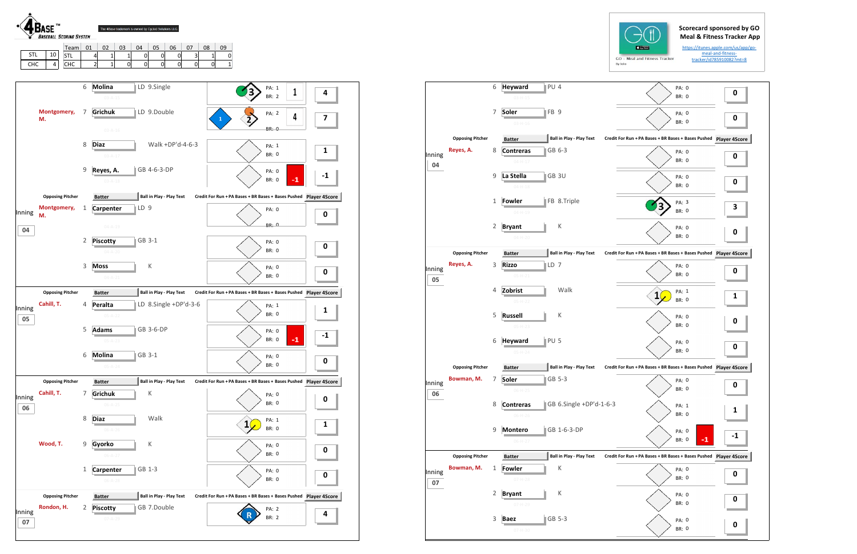

| $GO - M$ |  |
|----------|--|

|        |                                      | 6 | <b>Heyward</b>                | PU <sub>4</sub> |                                 | PA: 0<br><b>BR: 0</b>                                         | 0           |
|--------|--------------------------------------|---|-------------------------------|-----------------|---------------------------------|---------------------------------------------------------------|-------------|
|        |                                      |   | $03-H-15$                     |                 |                                 |                                                               |             |
|        |                                      | 7 | Soler                         | FB <sub>9</sub> |                                 | PA: 0                                                         | 0           |
|        |                                      |   | $03-H-16$                     |                 |                                 | <b>BR: 0</b>                                                  |             |
|        | <b>Opposing Pitcher</b>              |   | <b>Batter</b>                 |                 | <b>Ball in Play - Play Text</b> | Credit For Run + PA Bases + BR Bases + Bases Pushed Player 4S |             |
| Inning | Reyes, A.                            | 8 | <b>Contreras</b>              |                 | GB 6-3                          | PA: 0                                                         | $\mathbf 0$ |
| 04     |                                      |   | $04 - H - 17$                 |                 |                                 | <b>BR: 0</b>                                                  |             |
|        |                                      | 9 | La Stella                     |                 | GB <sub>3U</sub>                | PA: 0                                                         |             |
|        |                                      |   | $04 - H - 18$                 |                 |                                 | <b>BR: 0</b>                                                  | $\mathbf 0$ |
|        |                                      | 1 | Fowler                        |                 | FB 8.Triple                     | PA: 3                                                         |             |
|        |                                      |   | $04 - H - 19$                 |                 |                                 | <b>BR: 0</b>                                                  | 3           |
|        |                                      | 2 | <b>Bryant</b>                 |                 | К                               | PA: 0                                                         |             |
|        |                                      |   | $04 - H - 20$                 |                 |                                 | <b>BR: 0</b>                                                  | 0           |
|        |                                      |   |                               |                 |                                 |                                                               |             |
|        | <b>Opposing Pitcher</b><br>Reyes, A. | 3 | <b>Batter</b><br><b>Rizzo</b> | LD 7            | <b>Ball in Play - Play Text</b> | Credit For Run + PA Bases + BR Bases + Bases Pushed Player 4S |             |
| Inning |                                      |   | $05 - H - 21$                 |                 |                                 | PA: 0<br><b>BR: 0</b>                                         | 0           |
| 05     |                                      |   |                               |                 |                                 |                                                               |             |
|        |                                      | 4 | Zobrist                       |                 | Walk                            | PA: 1<br>1                                                    | 1           |
|        |                                      |   | $05-H-22$                     |                 |                                 | <b>BR: 0</b>                                                  |             |
|        |                                      | 5 | <b>Russell</b>                |                 | К                               | PA: 0                                                         | 0           |
|        |                                      |   | $05-H-23$                     |                 |                                 | <b>BR: 0</b>                                                  |             |
|        |                                      | 6 | <b>Heyward</b>                | PU <sub>5</sub> |                                 | PA: 0                                                         | 0           |
|        |                                      |   | $05-H-24$                     |                 |                                 | <b>BR: 0</b>                                                  |             |
|        | <b>Opposing Pitcher</b>              |   | <b>Batter</b>                 |                 | <b>Ball in Play - Play Text</b> | Credit For Run + PA Bases + BR Bases + Bases Pushed Player 4S |             |
| Inning | Bowman, M.                           | 7 | Soler                         |                 | GB 5-3                          | PA: 0                                                         | 0           |
| 06     |                                      |   | U0-H-∠5                       |                 |                                 | BR: 0                                                         |             |
|        |                                      | 8 | <b>Contreras</b>              |                 | GB 6.Single +DP'd-1-6-3         | PA: 1                                                         |             |
|        |                                      |   | $06 - H - 26$                 |                 |                                 | BR: 0                                                         | 1           |
|        |                                      | 9 | <b>Montero</b>                |                 | GB 1-6-3-DP                     | PA: 0                                                         |             |
|        |                                      |   | $06-H-27$                     |                 |                                 | BR: 0<br>-1                                                   |             |
|        | <b>Opposing Pitcher</b>              |   | <b>Batter</b>                 |                 | Ball in Play - Play Text        | Credit For Run + PA Bases + BR Bases + Bases Pushed Player 4S |             |
|        | Bowman, M.                           | 1 | <b>Fowler</b>                 |                 | Κ                               | PA: 0                                                         |             |
| Inning |                                      |   | $07 - H - 28$                 |                 |                                 | BR: 0                                                         | 0           |
| 07     |                                      | 2 | <b>Bryant</b>                 |                 | Κ                               |                                                               |             |
|        |                                      |   | $07 - H - 29$                 |                 |                                 | PA: 0<br>BR: 0                                                | 0           |
|        |                                      |   |                               |                 |                                 |                                                               |             |
|        |                                      | 3 | <b>Baez</b>                   |                 | GB 5-3                          | PA: 0<br>BR: 0                                                | 0           |
|        |                                      |   | $07 - H - 30$                 |                 |                                 |                                                               |             |



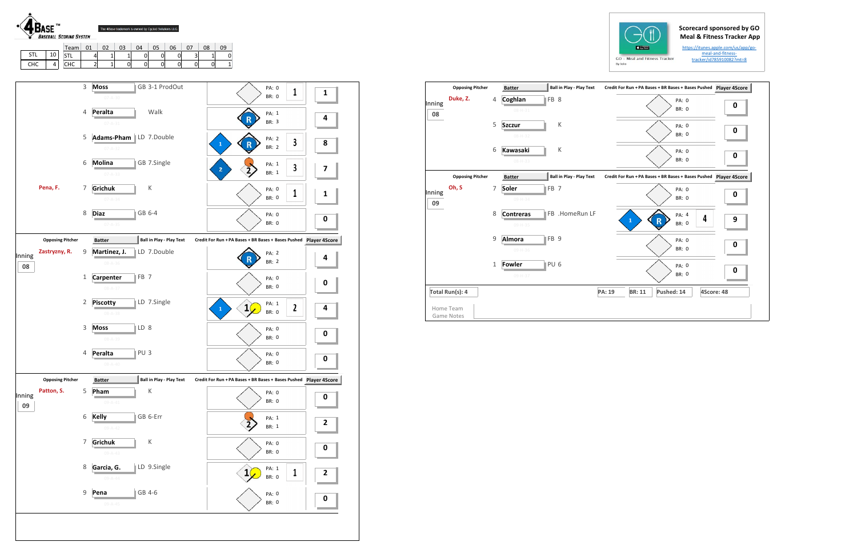





|              | <b>Opposing Pitcher</b>        |              | <b>Batter</b>               | Ball in Play - Play Text        | Credit For Run + PA Bases + BR Bases + Bases Pushed Player 4S |           |
|--------------|--------------------------------|--------------|-----------------------------|---------------------------------|---------------------------------------------------------------|-----------|
| Inning<br>08 | Duke, Z.                       | 4            | Coghlan<br>$08 - H - 31$    | FB <sub>8</sub>                 | PA: 0<br><b>BR: 0</b>                                         | 0         |
|              |                                | 5            | <b>Szczur</b><br>08-H-32    | К                               | PA: 0<br><b>BR: 0</b>                                         | 0         |
|              |                                | 6            | Kawasaki<br>$08 - H - 33$   | K                               | PA: 0<br><b>BR: 0</b>                                         | 0         |
|              | <b>Opposing Pitcher</b>        |              | <b>Batter</b>               | <b>Ball in Play - Play Text</b> | Credit For Run + PA Bases + BR Bases + Bases Pushed           | Player 4S |
| Inning<br>09 | Oh, S                          | 7            | <b>Soler</b><br>09-H-34     | FB <sub>7</sub>                 | PA: 0<br><b>BR: 0</b>                                         | 0         |
|              |                                | 8            | <b>Contreras</b><br>09-H-35 | FB .HomeRun LF                  | PA: 4<br>4<br>$\mathbf{1}$<br>R<br><b>BR: 0</b>               | 9         |
|              |                                | 9            | Almora<br>09-H-36           | FB <sub>9</sub>                 | PA: 0<br><b>BR: 0</b>                                         | 0         |
|              |                                | $\mathbf{1}$ | Fowler<br>09-H-37           | PU <sub>6</sub>                 | PA: 0<br><b>BR: 0</b>                                         | 0         |
|              | Total Run(s): 4                |              |                             |                                 | Pushed: 14<br>4Score: 48<br>PA: 19<br><b>BR: 11</b>           |           |
|              | Home Team<br><b>Game Notes</b> |              |                             |                                 |                                                               |           |